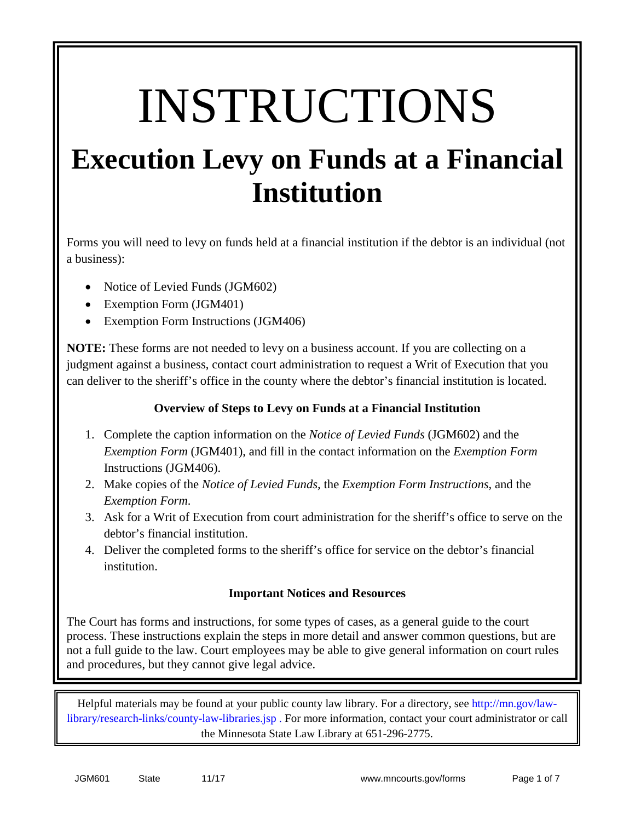# INSTRUCTIONS **Execution Levy on Funds at a Financial Institution**

Forms you will need to levy on funds held at a financial institution if the debtor is an individual (not a business):

- Notice of Levied Funds (JGM602)
- Exemption Form (JGM401)
- Exemption Form Instructions (JGM406)

**NOTE:** These forms are not needed to levy on a business account. If you are collecting on a judgment against a business, contact court administration to request a Writ of Execution that you can deliver to the sheriff's office in the county where the debtor's financial institution is located.

#### **Overview of Steps to Levy on Funds at a Financial Institution**

- 1. Complete the caption information on the *Notice of Levied Funds* (JGM602) and the *Exemption Form* (JGM401), and fill in the contact information on the *Exemption Form* Instructions (JGM406).
- 2. Make copies of the *Notice of Levied Funds,* the *Exemption Form Instructions*, and the *Exemption Form*.
- 3. Ask for a Writ of Execution from court administration for the sheriff's office to serve on the debtor's financial institution.
- 4. Deliver the completed forms to the sheriff's office for service on the debtor's financial institution.

#### **Important Notices and Resources**

The Court has forms and instructions, for some types of cases, as a general guide to the court process. These instructions explain the steps in more detail and answer common questions, but are not a full guide to the law. Court employees may be able to give general information on court rules and procedures, but they cannot give legal advice.

Helpful materials may be found at your public county law library. For a directory, see http://mn.gov/lawlibrary/research-links/county-law-libraries.jsp . For more information, contact your court administrator or call the Minnesota State Law Library at 651-296-2775.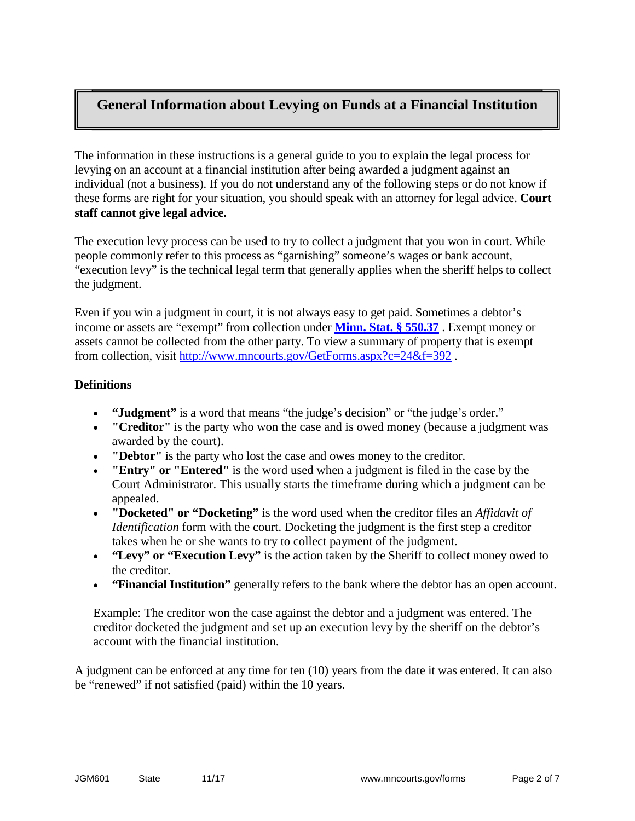## **General Information about Levying on Funds at a Financial Institution**

The information in these instructions is a general guide to you to explain the legal process for levying on an account at a financial institution after being awarded a judgment against an individual (not a business). If you do not understand any of the following steps or do not know if these forms are right for your situation, you should speak with an attorney for legal advice. **Court staff cannot give legal advice.**

The execution levy process can be used to try to collect a judgment that you won in court. While people commonly refer to this process as "garnishing" someone's wages or bank account, "execution levy" is the technical legal term that generally applies when the sheriff helps to collect the judgment.

Even if you win a judgment in court, it is not always easy to get paid. Sometimes a debtor's income or assets are "exempt" from collection under **Minn. Stat. [§ 550.37](https://www.revisor.mn.gov/statutes/?id=550.37)** . Exempt money or assets cannot be collected from the other party. To view a summary of property that is exempt from collection, visit<http://www.mncourts.gov/GetForms.aspx?c=24&f=392> .

#### **Definitions**

- **"Judgment"** is a word that means "the judge's decision" or "the judge's order."
- **"Creditor"** is the party who won the case and is owed money (because a judgment was awarded by the court).
- **"Debtor"** is the party who lost the case and owes money to the creditor.
- **"Entry" or "Entered"** is the word used when a judgment is filed in the case by the Court Administrator. This usually starts the timeframe during which a judgment can be appealed.
- **"Docketed" or "Docketing"** is the word used when the creditor files an *Affidavit of Identification* form with the court. Docketing the judgment is the first step a creditor takes when he or she wants to try to collect payment of the judgment.
- **"Levy" or "Execution Levy"** is the action taken by the Sheriff to collect money owed to the creditor.
- **"Financial Institution"** generally refers to the bank where the debtor has an open account.

Example: The creditor won the case against the debtor and a judgment was entered. The creditor docketed the judgment and set up an execution levy by the sheriff on the debtor's account with the financial institution.

A judgment can be enforced at any time for ten (10) years from the date it was entered. It can also be "renewed" if not satisfied (paid) within the 10 years.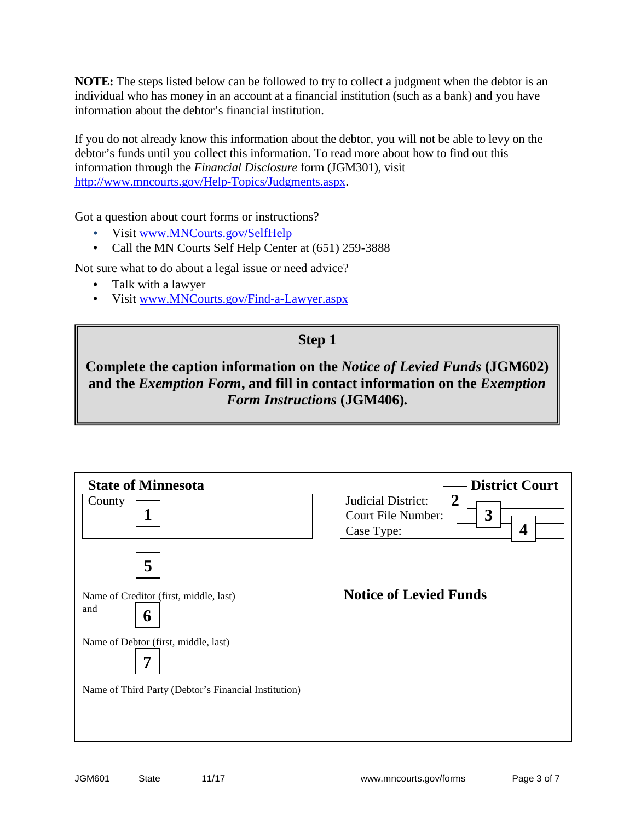**NOTE:** The steps listed below can be followed to try to collect a judgment when the debtor is an individual who has money in an account at a financial institution (such as a bank) and you have information about the debtor's financial institution.

If you do not already know this information about the debtor, you will not be able to levy on the debtor's funds until you collect this information. To read more about how to find out this information through the *Financial Disclosure* form (JGM301), visit [http://www.mncourts.gov/Help-Topics/Judgments.aspx.](http://www.mncourts.gov/Help-Topics/Judgments.aspx)

Got a question about court forms or instructions?

- Visit [www.MNCourts.gov/SelfHelp](http://www.mncourts.gov/SelfHelp)
- Call the MN Courts Self Help Center at (651) 259-3888

Not sure what to do about a legal issue or need advice?

- Talk with a lawyer
- Visit [www.MNCourts.gov/Find-a-Lawyer.aspx](http://www.mncourts.gov/Find-a-Lawyer.aspx)

**Step 1**

**Complete the caption information on the** *Notice of Levied Funds* **(JGM602) and the** *Exemption Form***, and fill in contact information on the** *Exemption Form Instructions* **(JGM406)***.*

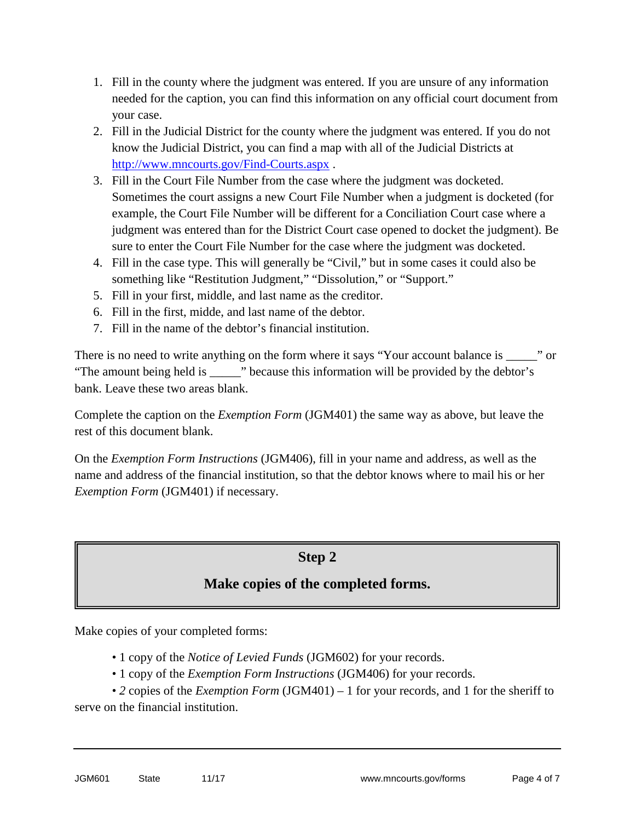- 1. Fill in the county where the judgment was entered. If you are unsure of any information needed for the caption, you can find this information on any official court document from your case.
- 2. Fill in the Judicial District for the county where the judgment was entered. If you do not know the Judicial District, you can find a map with all of the Judicial Districts at <http://www.mncourts.gov/Find-Courts.aspx> .
- 3. Fill in the Court File Number from the case where the judgment was docketed. Sometimes the court assigns a new Court File Number when a judgment is docketed (for example, the Court File Number will be different for a Conciliation Court case where a judgment was entered than for the District Court case opened to docket the judgment). Be sure to enter the Court File Number for the case where the judgment was docketed.
- 4. Fill in the case type. This will generally be "Civil," but in some cases it could also be something like "Restitution Judgment," "Dissolution," or "Support."
- 5. Fill in your first, middle, and last name as the creditor.
- 6. Fill in the first, midde, and last name of the debtor.
- 7. Fill in the name of the debtor's financial institution.

There is no need to write anything on the form where it says "Your account balance is \_\_\_\_\_\_" or "The amount being held is \_\_\_\_\_" because this information will be provided by the debtor's bank. Leave these two areas blank.

Complete the caption on the *Exemption Form* (JGM401) the same way as above, but leave the rest of this document blank.

On the *Exemption Form Instructions* (JGM406), fill in your name and address, as well as the name and address of the financial institution, so that the debtor knows where to mail his or her *Exemption Form* (JGM401) if necessary.

#### **Step 2**

#### **Make copies of the completed forms.**

Make copies of your completed forms:

- 1 copy of the *Notice of Levied Funds* (JGM602) for your records.
- 1 copy of the *Exemption Form Instructions* (JGM406) for your records.

• *2* copies of the *Exemption Form* (JGM401) – 1 for your records, and 1 for the sheriff to serve on the financial institution.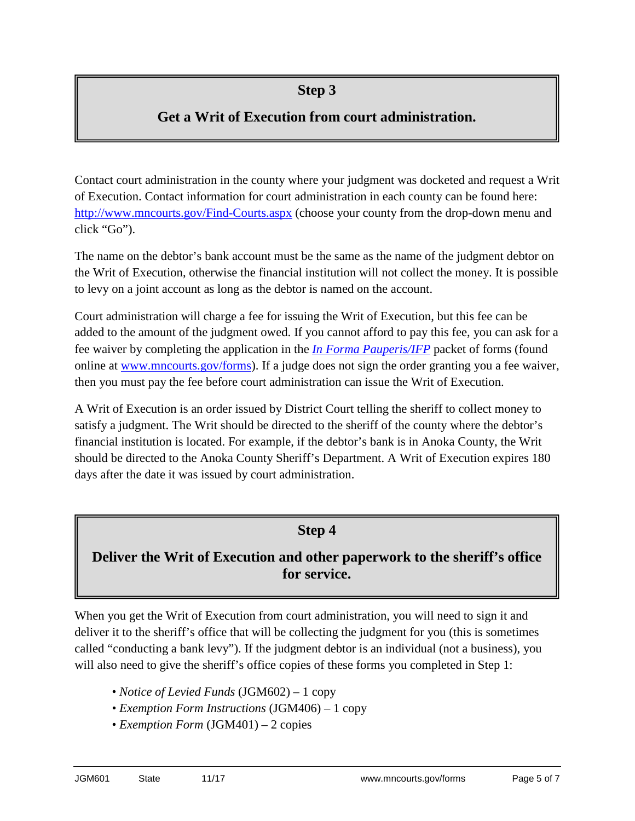# **Step 3**

# **Get a Writ of Execution from court administration.**

Contact court administration in the county where your judgment was docketed and request a Writ of Execution. Contact information for court administration in each county can be found here: <http://www.mncourts.gov/Find-Courts.aspx> (choose your county from the drop-down menu and click "Go").

The name on the debtor's bank account must be the same as the name of the judgment debtor on the Writ of Execution, otherwise the financial institution will not collect the money. It is possible to levy on a joint account as long as the debtor is named on the account.

Court administration will charge a fee for issuing the Writ of Execution, but this fee can be added to the amount of the judgment owed. If you cannot afford to pay this fee, you can ask for a fee waiver by completing the application in the *[In Forma Pauperis/IFP](http://mncourts.gov/Help-Topics/Fee-Waiver-IFP.aspx)* packet of forms (found online at [www.mncourts.gov/forms\)](http://www.mncourts.gov/forms). If a judge does not sign the order granting you a fee waiver, then you must pay the fee before court administration can issue the Writ of Execution.

A Writ of Execution is an order issued by District Court telling the sheriff to collect money to satisfy a judgment. The Writ should be directed to the sheriff of the county where the debtor's financial institution is located. For example, if the debtor's bank is in Anoka County, the Writ should be directed to the Anoka County Sheriff's Department. A Writ of Execution expires 180 days after the date it was issued by court administration.

# **Step 4**

## **Deliver the Writ of Execution and other paperwork to the sheriff's office for service.**

When you get the Writ of Execution from court administration, you will need to sign it and deliver it to the sheriff's office that will be collecting the judgment for you (this is sometimes called "conducting a bank levy"). If the judgment debtor is an individual (not a business), you will also need to give the sheriff's office copies of these forms you completed in Step 1:

- *Notice of Levied Funds* (JGM602) 1 copy
- *Exemption Form Instructions* (JGM406) 1 copy
- *Exemption Form* (JGM401) 2 copies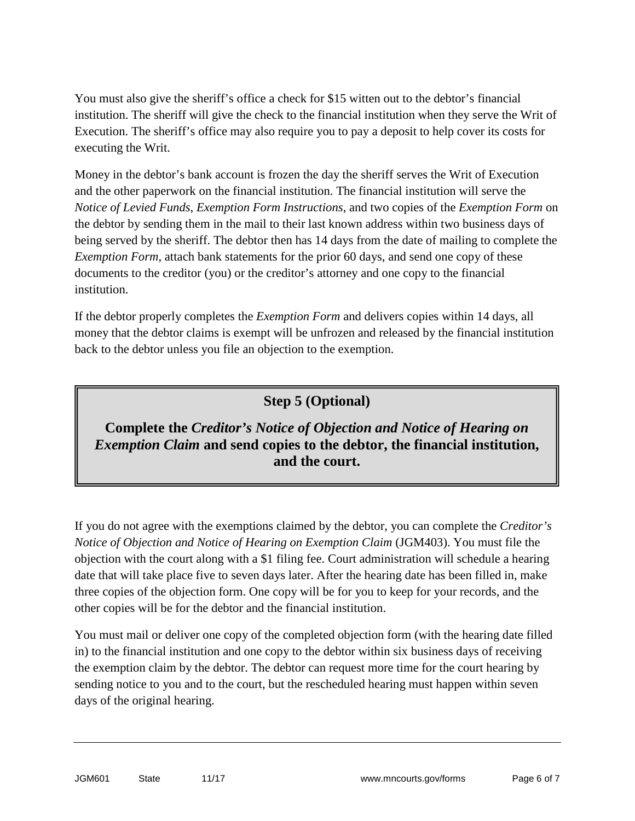You must also give the sheriff's office a check for \$15 witten out to the debtor's financial institution. The sheriff will give the check to the financial institution when they serve the Writ of Execution. The sheriff's office may also require you to pay a deposit to help cover its costs for executing the Writ.

Money in the debtor's bank account is frozen the day the sheriff serves the Writ of Execution and the other paperwork on the financial institution. The financial institution will serve the *Notice of Levied Funds*, *Exemption Form Instructions*, and two copies of the *Exemption Form* on the debtor by sending them in the mail to their last known address within two business days of being served by the sheriff. The debtor then has 14 days from the date of mailing to complete the *Exemption Form*, attach bank statements for the prior 60 days, and send one copy of these documents to the creditor (you) or the creditor's attorney and one copy to the financial institution.

If the debtor properly completes the *Exemption Form* and delivers copies within 14 days, all money that the debtor claims is exempt will be unfrozen and released by the financial institution back to the debtor unless you file an objection to the exemption.

# **Step 5 (Optional)**

# **Complete the** *Creditor's Notice of Objection and Notice of Hearing on Exemption Claim* **and send copies to the debtor, the financial institution, and the court.**

If you do not agree with the exemptions claimed by the debtor, you can complete the *Creditor's Notice of Objection and Notice of Hearing on Exemption Claim* (JGM403). You must file the objection with the court along with a \$1 filing fee. Court administration will schedule a hearing date that will take place five to seven days later. After the hearing date has been filled in, make three copies of the objection form. One copy will be for you to keep for your records, and the other copies will be for the debtor and the financial institution.

You must mail or deliver one copy of the completed objection form (with the hearing date filled in) to the financial institution and one copy to the debtor within six business days of receiving the exemption claim by the debtor. The debtor can request more time for the court hearing by sending notice to you and to the court, but the rescheduled hearing must happen within seven days of the original hearing.